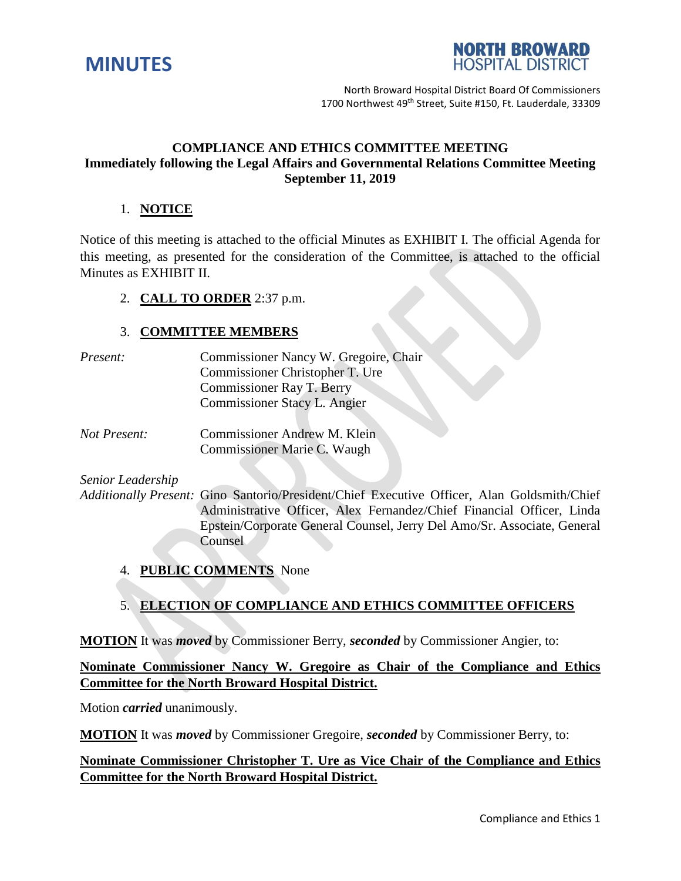



North Broward Hospital District Board Of Commissioners 1700 Northwest 49<sup>th</sup> Street, Suite #150, Ft. Lauderdale, 33309

# **COMPLIANCE AND ETHICS COMMITTEE MEETING Immediately following the Legal Affairs and Governmental Relations Committee Meeting September 11, 2019**

# 1. **NOTICE**

Notice of this meeting is attached to the official Minutes as EXHIBIT I. The official Agenda for this meeting, as presented for the consideration of the Committee, is attached to the official Minutes as EXHIBIT II.

#### 2. **CALL TO ORDER** 2:37 p.m.

#### 3. **COMMITTEE MEMBERS**

| Present: | Commissioner Nancy W. Gregoire, Chair |
|----------|---------------------------------------|
|          | Commissioner Christopher T. Ure       |
|          | <b>Commissioner Ray T. Berry</b>      |
|          | Commissioner Stacy L. Angier          |
|          |                                       |

*Not Present:* Commissioner Andrew M. Klein Commissioner Marie C. Waugh

*Senior Leadership*

*Additionally Present:* Gino Santorio/President/Chief Executive Officer, Alan Goldsmith/Chief Administrative Officer, Alex Fernandez/Chief Financial Officer, Linda Epstein/Corporate General Counsel, Jerry Del Amo/Sr. Associate, General **Counsel** 

4. **PUBLIC COMMENTS** None

# 5. **ELECTION OF COMPLIANCE AND ETHICS COMMITTEE OFFICERS**

**MOTION** It was *moved* by Commissioner Berry, *seconded* by Commissioner Angier, to:

**Nominate Commissioner Nancy W. Gregoire as Chair of the Compliance and Ethics Committee for the North Broward Hospital District.**

Motion *carried* unanimously.

**MOTION** It was *moved* by Commissioner Gregoire, *seconded* by Commissioner Berry, to:

# **Nominate Commissioner Christopher T. Ure as Vice Chair of the Compliance and Ethics Committee for the North Broward Hospital District.**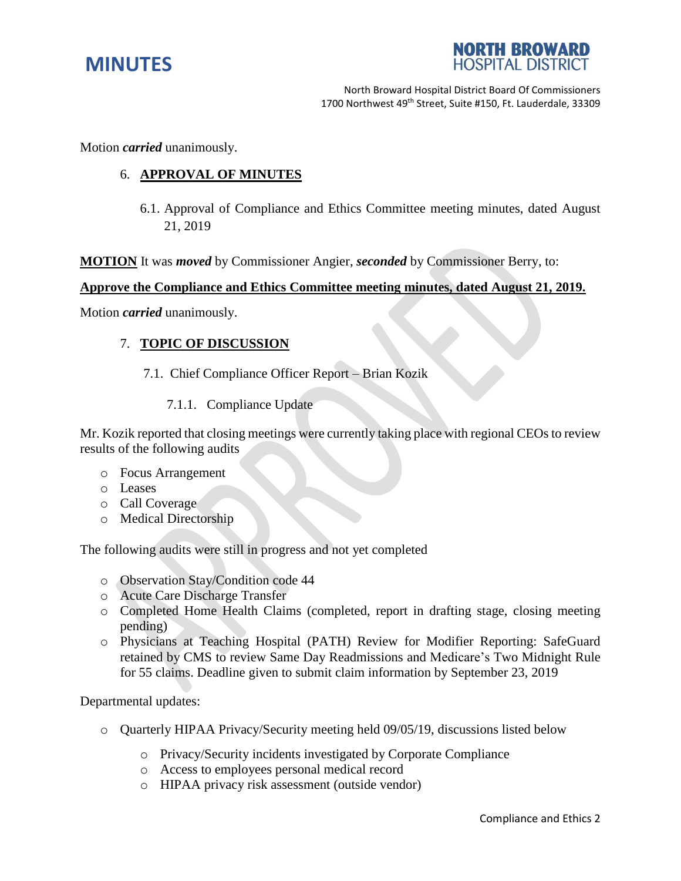



North Broward Hospital District Board Of Commissioners 1700 Northwest 49<sup>th</sup> Street, Suite #150, Ft. Lauderdale, 33309

Motion *carried* unanimously.

## 6. **APPROVAL OF MINUTES**

6.1. Approval of Compliance and Ethics Committee meeting minutes, dated August 21, 2019

**MOTION** It was *moved* by Commissioner Angier, *seconded* by Commissioner Berry, to:

#### **Approve the Compliance and Ethics Committee meeting minutes, dated August 21, 2019.**

Motion *carried* unanimously.

#### 7. **TOPIC OF DISCUSSION**

- 7.1. Chief Compliance Officer Report Brian Kozik
	- 7.1.1. Compliance Update

Mr. Kozik reported that closing meetings were currently taking place with regional CEOs to review results of the following audits

- o Focus Arrangement
- o Leases
- o Call Coverage
- o Medical Directorship

The following audits were still in progress and not yet completed

- o Observation Stay/Condition code 44
- o Acute Care Discharge Transfer
- o Completed Home Health Claims (completed, report in drafting stage, closing meeting pending)
- o Physicians at Teaching Hospital (PATH) Review for Modifier Reporting: SafeGuard retained by CMS to review Same Day Readmissions and Medicare's Two Midnight Rule for 55 claims. Deadline given to submit claim information by September 23, 2019

Departmental updates:

- o Quarterly HIPAA Privacy/Security meeting held 09/05/19, discussions listed below
	- o Privacy/Security incidents investigated by Corporate Compliance
	- o Access to employees personal medical record
	- o HIPAA privacy risk assessment (outside vendor)